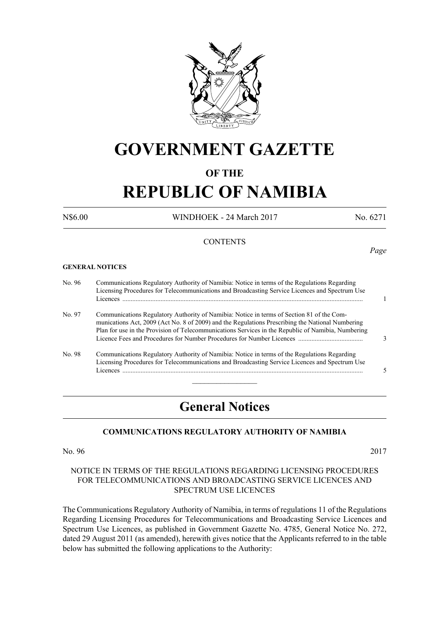

## **GOVERNMENT GAZETTE**

### **OF THE**

# **REPUBLIC OF NAMIBIA**

N\$6.00 WINDHOEK - 24 March 2017 No. 6271

*Page*

#### **CONTENTS**

#### **GENERAL NOTICES**

No. 96 Communications Regulatory Authority of Namibia: Notice in terms of the Regulations Regarding Licensing Procedures for Telecommunications and Broadcasting Service Licences and Spectrum Use Licences ................................................................................................................................................. 1 No. 97 Communications Regulatory Authority of Namibia: Notice in terms of Section 81 of the Com munications Act, 2009 (Act No. 8 of 2009) and the Regulations Prescribing the National Numbering Plan for use in the Provision of Telecommunications Services in the Republic of Namibia, Numbering Licence Fees and Procedures for Number Procedures for Number Licences ....................................... 3 No. 98 Communications Regulatory Authority of Namibia: Notice in terms of the Regulations Regarding Licensing Procedures for Telecommunications and Broadcasting Service Licences and Spectrum Use Licences ................................................................................................................................................. 5  $\frac{1}{2}$ 

### **General Notices**

#### **COMMUNICATIONS REGULATORY AUTHORITY OF NAMIBIA**

No. 96 2017

#### NOTICE IN TERMS OF THE REGULATIONS REGARDING LICENSING PROCEDURES FOR TELECOMMUNICATIONS AND BROADCASTING SERVICE LICENCES AND SPECTRUM USE LICENCES

The Communications Regulatory Authority of Namibia, in terms of regulations 11 of the Regulations Regarding Licensing Procedures for Telecommunications and Broadcasting Service Licences and Spectrum Use Licences, as published in Government Gazette No. 4785, General Notice No. 272, dated 29 August 2011 (as amended), herewith gives notice that the Applicants referred to in the table below has submitted the following applications to the Authority: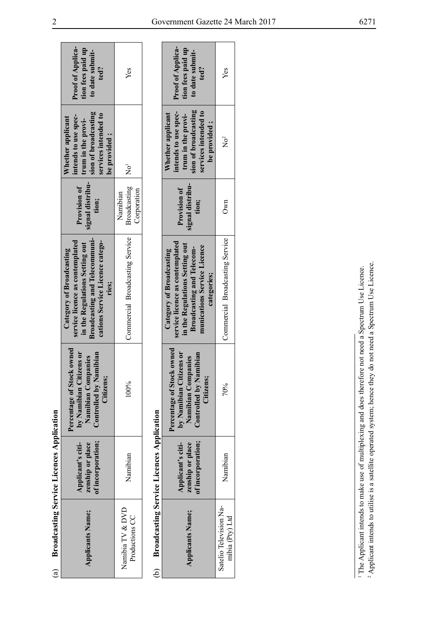| $\mathbf{a}$                              | <b>Broadcasting Service Licences Application</b>           |                                                                                                                                                                                                                      |                                                                                                                                                                                   |                                           |                                                                                                                                 |                                                                          |
|-------------------------------------------|------------------------------------------------------------|----------------------------------------------------------------------------------------------------------------------------------------------------------------------------------------------------------------------|-----------------------------------------------------------------------------------------------------------------------------------------------------------------------------------|-------------------------------------------|---------------------------------------------------------------------------------------------------------------------------------|--------------------------------------------------------------------------|
| <b>Applicants Name;</b>                   | of incorporation;<br>zenship or place<br>Applicant's citi- | Percentage of Stock owned<br>by Namibian Citizens or<br>Controlled by Namibian<br>Namibian Companies<br>Citizens;                                                                                                    | <b>Broadcasting and Telecommuni-</b><br>service licence as contemplated<br>cations Service Licence catego-<br>in the Regulations Setting out<br>Category of Broadcasting<br>ries; | signal distribu-<br>Provision of<br>tion; | sion of broadcasting<br>services intended to<br>intends to use spec-<br>Whether applicant<br>trum in the provi-<br>be provided; | <b>Proof of Applica-</b><br>tion fees paid up<br>to date submit-<br>ted? |
| Namibia TV & DVD<br>Productions CC        | Namibian                                                   | 100%                                                                                                                                                                                                                 | Commercial Broadcasting Service                                                                                                                                                   | Broadcasting<br>Corporation<br>Namibian   | $\rm \bar{R}^1$                                                                                                                 | Yes                                                                      |
| ව                                         | <b>Broadcasting Service Licences Application</b>           |                                                                                                                                                                                                                      |                                                                                                                                                                                   |                                           |                                                                                                                                 |                                                                          |
| <b>Applicants Name;</b>                   | of incorporation;<br>zenship or place<br>Applicant's citi- | Percentage of Stock owned<br>by Namibian Citizens or<br>Controlled by Namibian<br>Namibian Companies<br>Citizens;                                                                                                    | service licence as contemplated<br>in the Regulations Setting out<br>munications Service Licence<br><b>Broadcasting and Telecom-</b><br>Category of Broadcasting<br>categories;   | signal distribu-<br>Provision of<br>tion; | sion of broadcasting<br>services intended to<br>intends to use spec-<br>Whether applicant<br>trum in the provi-<br>be provided; | <b>Proof of Applica-</b><br>tion fees paid up<br>to date submit-<br>ted? |
| Satelio Television Na-<br>mibia (Pty) Ltd | Namibian                                                   | 70%                                                                                                                                                                                                                  | Commercial Broadcasting Service                                                                                                                                                   | Own                                       | $\overline{N}o^2$                                                                                                               | Yes                                                                      |
|                                           |                                                            |                                                                                                                                                                                                                      |                                                                                                                                                                                   |                                           |                                                                                                                                 |                                                                          |
|                                           |                                                            | Applicant intends to utilise is a satellite operated system; hence they do not need a Spectrum Use Licence.<br>The Applicant intends to make use of multiplexing and does therefore not need a Spectrum Use Licence. |                                                                                                                                                                                   |                                           |                                                                                                                                 |                                                                          |

|                                               | <b>Proof of Applica-</b><br>tion fees paid up<br>to date submit-<br>ted?                                                                                                        | Yes                                       |  |
|-----------------------------------------------|---------------------------------------------------------------------------------------------------------------------------------------------------------------------------------|-------------------------------------------|--|
|                                               | ntends to use spec-<br>sion of broadcasting<br>services intended to<br>trum in the provi-<br>Whether applicant<br>be provided;                                                  | $\overline{X}^2$                          |  |
|                                               | signal distribu-<br>Provision of<br>tion;                                                                                                                                       | Own                                       |  |
|                                               | service licence as contemplated<br>in the Regulations Setting out<br>nunications Service Licence<br><b>Broadcasting and Telecom-</b><br>Category of Broadcasting<br>categories; | Commercial Broadcasting Service           |  |
|                                               | Percentage of Stock owned<br>by Namibian Citizens or<br>Controlled by Namibian<br>Namibian Companies<br>Citizens:                                                               | 70%                                       |  |
|                                               | of incorporation;<br>Applicant's citi-<br>zenship or place                                                                                                                      | Namibian                                  |  |
| montranded samus Selvice Ticences & Direction | <b>Applicants Name;</b>                                                                                                                                                         | Satelio Television Na-<br>mibia (Pty) Ltd |  |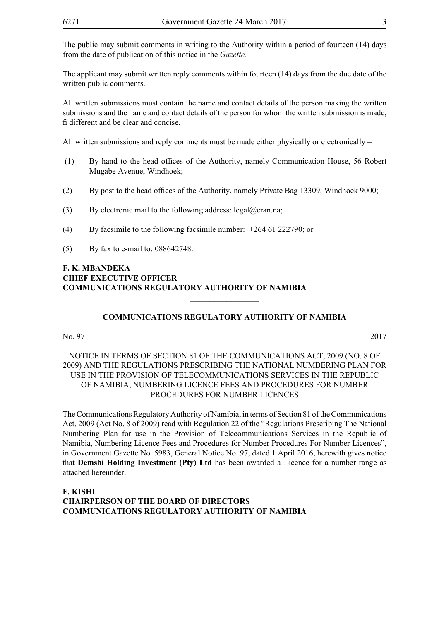The public may submit comments in writing to the Authority within a period of fourteen (14) days from the date of publication of this notice in the *Gazette.*

The applicant may submit written reply comments within fourteen (14) days from the due date of the written public comments.

All written submissions must contain the name and contact details of the person making the written submissions and the name and contact details of the person for whom the written submission is made, fi different and be clear and concise.

All written submissions and reply comments must be made either physically or electronically –

- (1) By hand to the head offices of the Authority, namely Communication House, 56 Robert Mugabe Avenue, Windhoek;
- (2) By post to the head offices of the Authority, namely Private Bag 13309, Windhoek 9000;
- (3) By electronic mail to the following address: legal@cran.na;
- (4) By facsimile to the following facsimile number: +264 61 222790; or
- (5) By fax to e-mail to: 088642748.

#### **F. K. MBANDEKA CHIEF EXECUTIVE OFFICER COMMUNICATIONS REGULATORY AUTHORITY OF NAMIBIA**

#### **COMMUNICATIONS REGULATORY AUTHORITY OF NAMIBIA**

 $\overline{\phantom{a}}$  , where  $\overline{\phantom{a}}$ 

No. 97 2017

#### NOTICE IN TERMS OF SECTION 81 OF THE COMMUNICATIONS ACT, 2009 (NO. 8 OF 2009) AND THE REGULATIONS PRESCRIBING THE NATIONAL NUMBERING PLAN FOR USE IN THE PROVISION OF TELECOMMUNICATIONS SERVICES IN THE REPUBLIC OF NAMIBIA, NUMBERING LICENCE FEES AND PROCEDURES FOR NUMBER PROCEDURES FOR NUMBER LICENCES

The Communications Regulatory Authority of Namibia, in terms of Section 81 of the Communications Act, 2009 (Act No. 8 of 2009) read with Regulation 22 of the "Regulations Prescribing The National Numbering Plan for use in the Provision of Telecommunications Services in the Republic of Namibia, Numbering Licence Fees and Procedures for Number Procedures For Number Licences", in Government Gazette No. 5983, General Notice No. 97, dated 1 April 2016, herewith gives notice that **Demshi Holding Investment (Pty) Ltd** has been awarded a Licence for a number range as attached hereunder.

#### **F. KISHI CHAIRPERSON OF THE BOARD OF DIRECTORS COMMUNICATIONS REGULATORY AUTHORITY OF NAMIBIA**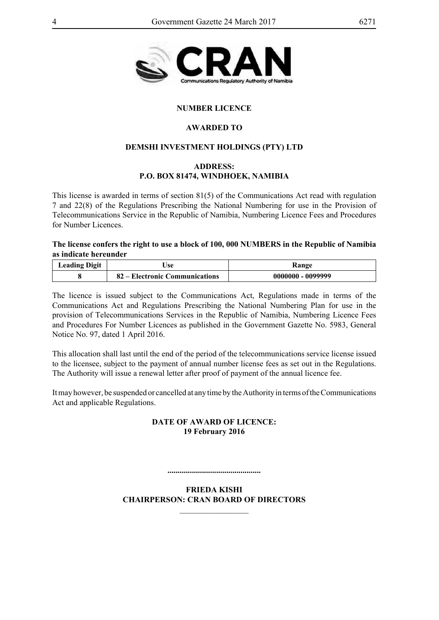

#### **NUMBER LICENCE**

#### **AWARDED TO**

#### **Demshi Investment Holdings (Pty) Ltd**

#### **Address: P.O. BOX 81474, WINDHOEK, NAMIBIA**

This license is awarded in terms of section 81(5) of the Communications Act read with regulation 7 and 22(8) of the Regulations Prescribing the National Numbering for use in the Provision of Telecommunications Service in the Republic of Namibia, Numbering Licence Fees and Procedures for Number Licences.

**The license confers the right to use a block of 100, 000 NUMBERS in the Republic of Namibia as indicate hereunder**

| <b>Leading Digit</b> | ∍se                            | <b>Range</b>        |
|----------------------|--------------------------------|---------------------|
|                      | 82 – Electronic Communications | $0000000 - 0099999$ |

The licence is issued subject to the Communications Act, Regulations made in terms of the Communications Act and Regulations Prescribing the National Numbering Plan for use in the provision of Telecommunications Services in the Republic of Namibia, Numbering Licence Fees and Procedures For Number Licences as published in the Government Gazette No. 5983, General Notice No. 97, dated 1 April 2016.

This allocation shall last until the end of the period of the telecommunications service license issued to the licensee, subject to the payment of annual number license fees as set out in the Regulations. The Authority will issue a renewal letter after proof of payment of the annual licence fee.

It may however, be suspended or cancelled at any time by the Authority in terms of the Communications Act and applicable Regulations.

#### **DATE OF AWARD OF LICENCE: 19 February 2016**

**..............................................**

**FRIEDA KISHI CHAIRPERSON: CRAN BOARD OF DIRECTORS**

 $\overline{\phantom{a}}$  , where  $\overline{\phantom{a}}$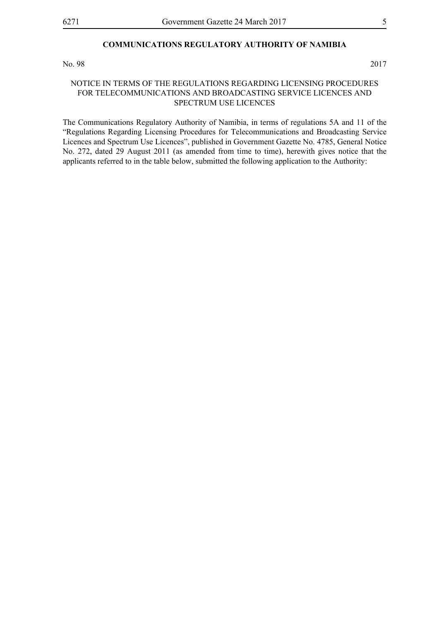#### **COMMUNICATIONS REGULATORY AUTHORITY OF NAMIBIA**

No. 98 2017

#### NOTICE IN TERMS OF THE REGULATIONS REGARDING LICENSING PROCEDURES FOR TELECOMMUNICATIONS AND BROADCASTING SERVICE LICENCES AND SPECTRUM USE LICENCES

The Communications Regulatory Authority of Namibia, in terms of regulations 5A and 11 of the "Regulations Regarding Licensing Procedures for Telecommunications and Broadcasting Service Licences and Spectrum Use Licences", published in Government Gazette No. 4785, General Notice No. 272, dated 29 August 2011 (as amended from time to time), herewith gives notice that the applicants referred to in the table below, submitted the following application to the Authority: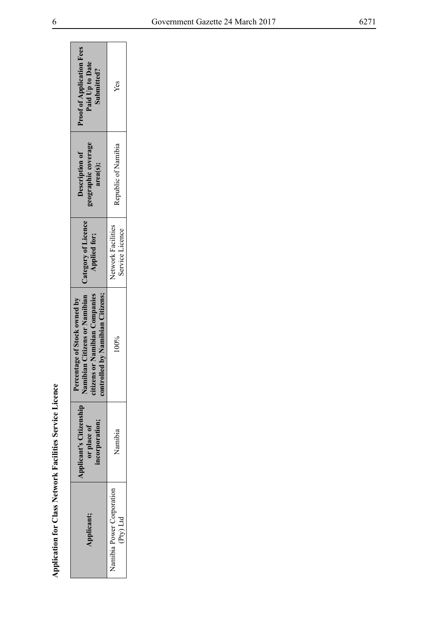| $\sim$ $\sim$ $\sim$ |
|----------------------|
| 1                    |
|                      |
| j                    |
|                      |
| ₹                    |
| ï                    |
| í                    |
|                      |
|                      |
| $\frac{1}{2}$        |
| Ì                    |
| Ĭ                    |
|                      |
| ì                    |
| i                    |
| $\frac{1}{2}$<br>;   |
|                      |
| $\frac{1}{2}$        |
|                      |
|                      |
|                      |
|                      |

|                                                                 | <b>Proof of Application Fees</b><br>Paid Up to Date<br>Submitted?                                                                                         | Yes                                    |
|-----------------------------------------------------------------|-----------------------------------------------------------------------------------------------------------------------------------------------------------|----------------------------------------|
|                                                                 | geographic coverage<br>Description of<br>area(s);                                                                                                         | Republic of Namibia                    |
|                                                                 | <b>Applied for;</b>                                                                                                                                       | Network Facilities<br>Service Licence  |
|                                                                 | Namibian Citizens or Namibian   Category of Licence<br>controlled by Namibian Citizens;<br>citizens or Namibian Companies<br>Percentage of Stock owned by | $00\%$                                 |
|                                                                 | Applicant's Citizenship<br>incorporation;<br>or place of                                                                                                  | Namibia                                |
| <b>Application for Class Network Facilities Service Licence</b> | Applicant;                                                                                                                                                | Namibia Power Corporation<br>(Pty) Ltd |